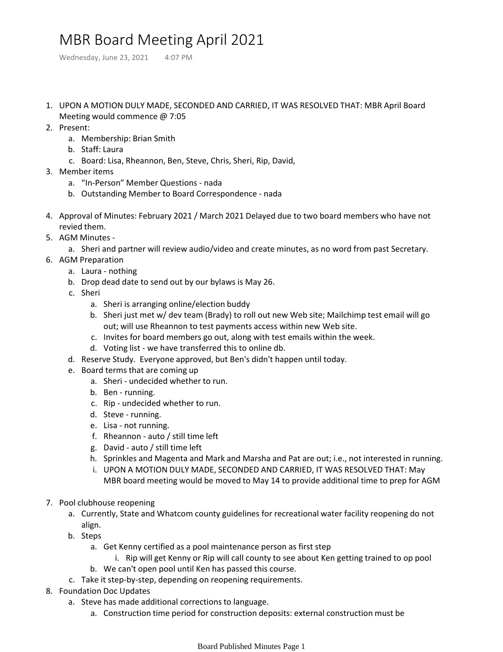## MBR Board Meeting April 2021

Wednesday, June 23, 2021 4:07 PM

- 1. UPON A MOTION DULY MADE, SECONDED AND CARRIED, IT WAS RESOLVED THAT: MBR April Board Meeting would commence @ 7:05
- 2. Present:
	- a. Membership: Brian Smith
	- b. Staff: Laura
	- c. Board: Lisa, Rheannon, Ben, Steve, Chris, Sheri, Rip, David,
- Member items 3.
	- a. "In-Person" Member Questions nada
	- b. Outstanding Member to Board Correspondence nada
- 4. Approval of Minutes: February 2021 / March 2021 Delayed due to two board members who have not revied them.
- 5. AGM Minutes
	- a. Sheri and partner will review audio/video and create minutes, as no word from past Secretary.
- 6. AGM Preparation
	- a. Laura nothing
	- b. Drop dead date to send out by our bylaws is May 26.
	- c. Sheri
		- a. Sheri is arranging online/election buddy
		- b. Sheri just met w/dev team (Brady) to roll out new Web site; Mailchimp test email will go out; will use Rheannon to test payments access within new Web site.
		- c. Invites for board members go out, along with test emails within the week.
		- d. Voting list we have transferred this to online db.
	- d. Reserve Study. Everyone approved, but Ben's didn't happen until today.
	- e. Board terms that are coming up
		- a. Sheri undecided whether to run.
		- b. Ben running.
		- c. Rip undecided whether to run.
		- d. Steve running.
		- e. Lisa not running.
		- f. Rheannon auto / still time left
		- g. David auto / still time left
		- h. Sprinkles and Magenta and Mark and Marsha and Pat are out; i.e., not interested in running.
		- i. UPON A MOTION DULY MADE, SECONDED AND CARRIED, IT WAS RESOLVED THAT: May MBR board meeting would be moved to May 14 to provide additional time to prep for AGM
- 7. Pool clubhouse reopening
	- a. Currently, State and Whatcom county guidelines for recreational water facility reopening do not align.
	- b. Steps
		- Get Kenny certified as a pool maintenance person as first step a.
			- i. Rip will get Kenny or Rip will call county to see about Ken getting trained to op pool
		- b. We can't open pool until Ken has passed this course.
	- c. Take it step-by-step, depending on reopening requirements.
- 8. Foundation Doc Updates
	- a. Steve has made additional corrections to language.
		- a. Construction time period for construction deposits: external construction must be